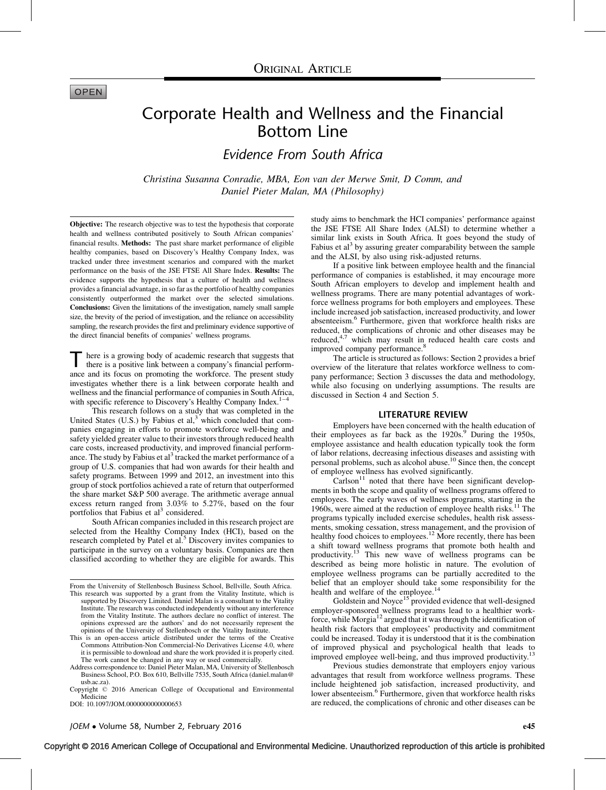# **OPEN**

# Corporate Health and Wellness and the Financial Bottom Line

Evidence From South Africa

Christina Susanna Conradie, MBA, Eon van der Merwe Smit, D Comm, and Daniel Pieter Malan, MA (Philosophy)

Objective: The research objective was to test the hypothesis that corporate health and wellness contributed positively to South African companies' financial results. Methods: The past share market performance of eligible healthy companies, based on Discovery's Healthy Company Index, was tracked under three investment scenarios and compared with the market performance on the basis of the JSE FTSE All Share Index. Results: The evidence supports the hypothesis that a culture of health and wellness provides a financial advantage, in so far as the portfolio of healthy companies consistently outperformed the market over the selected simulations. Conclusions: Given the limitations of the investigation, namely small sample size, the brevity of the period of investigation, and the reliance on accessibility sampling, the research provides the first and preliminary evidence supportive of the direct financial benefits of companies' wellness programs.

here is a growing body of academic research that suggests that there is a positive link between a company's financial performance and its focus on promoting the workforce. The present study investigates whether there is a link between corporate health and wellness and the financial performance of companies in South Africa, with specific reference to Discovery's Healthy Company Index. $1-4$ 

This research follows on a study that was completed in the United States (U.S.) by Fabius et al, $3\overline{ }$  $3\overline{ }$  which concluded that companies engaging in efforts to promote workforce well-being and safety yielded greater value to their investors through reduced health care costs, increased productivity, and improved financial performance. The study by Fabius et  $al<sup>3</sup>$  $al<sup>3</sup>$  $al<sup>3</sup>$  tracked the market performance of a group of U.S. companies that had won awards for their health and safety programs. Between 1999 and 2012, an investment into this group of stock portfolios achieved a rate of return that outperformed the share market S&P 500 average. The arithmetic average annual excess return ranged from 3.03% to 5.27%, based on the four portfolios that Fabius et  $al<sup>3</sup>$  $al<sup>3</sup>$  $al<sup>3</sup>$  considered.

South African companies included in this research project are selected from the Healthy Company Index (HCI), based on the research completed by Patel et al.<sup>[5](#page-7-0)</sup> Discovery invites companies to participate in the survey on a voluntary basis. Companies are then classified according to whether they are eligible for awards. This

DOI: 10.1097/JOM.0000000000000653

study aims to benchmark the HCI companies' performance against the JSE FTSE All Share Index (ALSI) to determine whether a similar link exists in South Africa. It goes beyond the study of Fabius et al<sup>[3](#page-7-0)</sup> by assuring greater comparability between the sample and the ALSI, by also using risk-adjusted returns.

If a positive link between employee health and the financial performance of companies is established, it may encourage more South African employers to develop and implement health and wellness programs. There are many potential advantages of workforce wellness programs for both employers and employees. These include increased job satisfaction, increased productivity, and lower absenteeism.[6](#page-7-0) Furthermore, given that workforce health risks are reduced, the complications of chronic and other diseases may be reduced,<sup>4[,7](#page-7-0)</sup> which may result in reduced health care costs and improved company performance.<sup>[8](#page-7-0)</sup>

The article is structured as follows: Section 2 provides a brief overview of the literature that relates workforce wellness to company performance; Section 3 discusses the data and methodology, while also focusing on underlying assumptions. The results are discussed in Section 4 and Section 5.

#### LITERATURE REVIEW

Employers have been concerned with the health education of their employees as far back as the  $1920s$  $1920s$  $1920s$ .<sup>9</sup> During the 1950s, employee assistance and health education typically took the form of labor relations, decreasing infectious diseases and assisting with personal problems, such as alcohol abuse.<sup>10</sup> Since then, the concept of employee wellness has evolved significantly.

 $Carlson<sup>11</sup>$  $Carlson<sup>11</sup>$  $Carlson<sup>11</sup>$  noted that there have been significant developments in both the scope and quality of wellness programs offered to employees. The early waves of wellness programs, starting in the 1960s, were aimed at the reduction of employee health risks.<sup>11</sup> The programs typically included exercise schedules, health risk assessments, smoking cessation, stress management, and the provision of healthy food choices to employees.<sup>[12](#page-7-0)</sup> More recently, there has been a shift toward wellness programs that promote both health and productivity.[13](#page-7-0) This new wave of wellness programs can be described as being more holistic in nature. The evolution of employee wellness programs can be partially accredited to the belief that an employer should take some responsibility for the health and welfare of the employee.<sup>[14](#page-7-0)</sup>

Goldstein and Noyce<sup>[15](#page-7-0)</sup> provided evidence that well-designed employer-sponsored wellness programs lead to a healthier work-force, while Morgia<sup>[12](#page-7-0)</sup> argued that it was through the identification of health risk factors that employees' productivity and commitment could be increased. Today it is understood that it is the combination of improved physical and psychological health that leads to improved employee well-being, and thus improved productivity.<sup>13</sup>

Previous studies demonstrate that employers enjoy various advantages that result from workforce wellness programs. These include heightened job satisfaction, increased productivity, and lower absenteeism.<sup>[6](#page-7-0)</sup> Furthermore, given that workforce health risks are reduced, the complications of chronic and other diseases can be

# Copyright © 2016 American College of Occupational and Environmental Medicine. Unauthorized reproduction of this article is prohibited

From the University of Stellenbosch Business School, Bellville, South Africa. This research was supported by a grant from the Vitality Institute, which is supported by Discovery Limited. Daniel Malan is a consultant to the Vitality Institute. The research was conducted independently without any interference from the Vitality Institute. The authors declare no conflict of interest. The opinions expressed are the authors' and do not necessarily represent the opinions of the University of Stellenbosch or the Vitality Institute.

This is an open-access article distributed under the terms of the Creative Commons Attribution-Non Commercial-No Derivatives License 4.0, where it is permissible to download and share the work provided it is properly cited. The work cannot be changed in any way or used commercially.

Address correspondence to: Daniel Pieter Malan, MA, University of Stellenbosch Business School, P.O. Box 610, Bellville 7535, South Africa (daniel.malan@ usb.ac.za).

Copyright © 2016 American College of Occupational and Environmental Medicine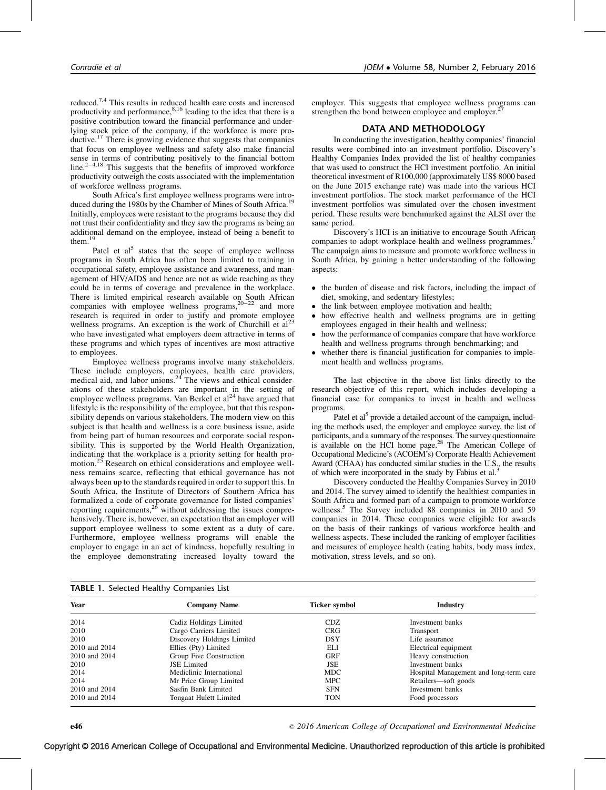reduced.[7,4](#page-7-0) This results in reduced health care costs and increased productivity and performance,  $8,16$  leading to the idea that there is a positive contribution toward the financial performance and underlying stock price of the company, if the workforce is more productive.<sup>17</sup> There is growing evidence that suggests that companies that focus on employee wellness and safety also make financial sense in terms of contributing positively to the financial bottom line. $2-4.18$  This suggests that the benefits of improved workforce productivity outweigh the costs associated with the implementation of workforce wellness programs.

South Africa's first employee wellness programs were intro-duced during the [19](#page-7-0)80s by the Chamber of Mines of South Africa.<sup>19</sup> Initially, employees were resistant to the programs because they did not trust their confidentiality and they saw the programs as being an additional demand on the employee, instead of being a benefit to them.<sup>19</sup>

Patel et  $al<sup>5</sup>$  $al<sup>5</sup>$  $al<sup>5</sup>$  states that the scope of employee wellness programs in South Africa has often been limited to training in occupational safety, employee assistance and awareness, and management of HIV/AIDS and hence are not as wide reaching as they could be in terms of coverage and prevalence in the workplace. There is limited empirical research available on South African companies with employee wellness programs,<sup>20–22</sup> and more research is required in order to justify and promote employee wellness programs. An exception is the work of Churchill et  $al<sup>23</sup>$  $al<sup>23</sup>$  $al<sup>23</sup>$ who have investigated what employers deem attractive in terms of these programs and which types of incentives are most attractive to employees.

Employee wellness programs involve many stakeholders. These include employers, employees, health care providers, medical aid, and labor unions.<sup>[24](#page-8-0)</sup> The views and ethical considerations of these stakeholders are important in the setting of employee wellness programs. Van Berkel et  $al^{24}$  $al^{24}$  $al^{24}$  have argued that lifestyle is the responsibility of the employee, but that this responsibility depends on various stakeholders. The modern view on this subject is that health and wellness is a core business issue, aside from being part of human resources and corporate social responsibility. This is supported by the World Health Organization, indicating that the workplace is a priority setting for health pro-motion.<sup>[25](#page-8-0)</sup> Research on ethical considerations and employee wellness remains scarce, reflecting that ethical governance has not always been up to the standards required in order to support this. In South Africa, the Institute of Directors of Southern Africa has formalized a code of corporate governance for listed companies' reporting requirements,  $26$  without addressing the issues comprehensively. There is, however, an expectation that an employer will support employee wellness to some extent as a duty of care. Furthermore, employee wellness programs will enable the employer to engage in an act of kindness, hopefully resulting in the employee demonstrating increased loyalty toward the

employer. This suggests that employee wellness programs can strengthen the bond between employee and employer.<sup>2</sup>

## DATA AND METHODOLOGY

In conducting the investigation, healthy companies' financial results were combined into an investment portfolio. Discovery's Healthy Companies Index provided the list of healthy companies that was used to construct the HCI investment portfolio. An initial theoretical investment of R100,000 (approximately US\$ 8000 based on the June 2015 exchange rate) was made into the various HCI investment portfolios. The stock market performance of the HCI investment portfolios was simulated over the chosen investment period. These results were benchmarked against the ALSI over the same period.

Discovery's HCI is an initiative to encourage South African companies to adopt workplace health and wellness programmes.<sup>[5](#page-7-0)</sup> The campaign aims to measure and promote workforce wellness in South Africa, by gaining a better understanding of the following aspects:

- the burden of disease and risk factors, including the impact of diet, smoking, and sedentary lifestyles;
- $\bullet$ the link between employee motivation and health;
- $\bullet$  how effective health and wellness programs are in getting employees engaged in their health and wellness;
- $\bullet$  how the performance of companies compare that have workforce health and wellness programs through benchmarking; and
- whether there is financial justification for companies to implement health and wellness programs.

The last objective in the above list links directly to the research objective of this report, which includes developing a financial case for companies to invest in health and wellness programs.

Patel et al<sup>5</sup> provide a detailed account of the campaign, including the methods used, the employer and employee survey, the list of participants, and a summary of the responses. The survey questionnaire is available on the HCI home page.<sup>28</sup> The American College of Occupational Medicine's (ACOEM's) Corporate Health Achievement Award (CHAA) has conducted similar studies in the U.S., the results of which were incorporated in the study by Fabius et al.

Discovery conducted the Healthy Companies Survey in 2010 and 2014. The survey aimed to identify the healthiest companies in South Africa and formed part of a campaign to promote workforce wellness.<sup>5</sup> The Survey included 88 companies in 2010 and 59 companies in 2014. These companies were eligible for awards on the basis of their rankings of various workforce health and wellness aspects. These included the ranking of employer facilities and measures of employee health (eating habits, body mass index, motivation, stress levels, and so on).

| <b>TABLE 1.</b> Selected Healthy Companies List |                            |                      |                                        |
|-------------------------------------------------|----------------------------|----------------------|----------------------------------------|
| Year                                            | <b>Company Name</b>        | <b>Ticker symbol</b> | <b>Industry</b>                        |
| 2014                                            | Cadiz Holdings Limited     | CDZ.                 | Investment banks                       |
| 2010                                            | Cargo Carriers Limited     | <b>CRG</b>           | Transport                              |
| 2010                                            | Discovery Holdings Limited | <b>DSY</b>           | Life assurance                         |
| 2010 and 2014                                   | Ellies (Pty) Limited       | ELI                  | Electrical equipment                   |
| 2010 and 2014                                   | Group Five Construction    | <b>GRF</b>           | Heavy construction                     |
| 2010                                            | <b>JSE</b> Limited         | JSE                  | Investment banks                       |
| 2014                                            | Mediclinic International   | <b>MDC</b>           | Hospital Management and long-term care |
| 2014                                            | Mr Price Group Limited     | <b>MPC</b>           | Retailers—soft goods                   |
| 2010 and 2014                                   | Sasfin Bank Limited        | <b>SFN</b>           | Investment banks                       |
| 2010 and 2014                                   | Tongaat Hulett Limited     | <b>TON</b>           | Food processors                        |

2016 American College of Occupational and Environmental Medicine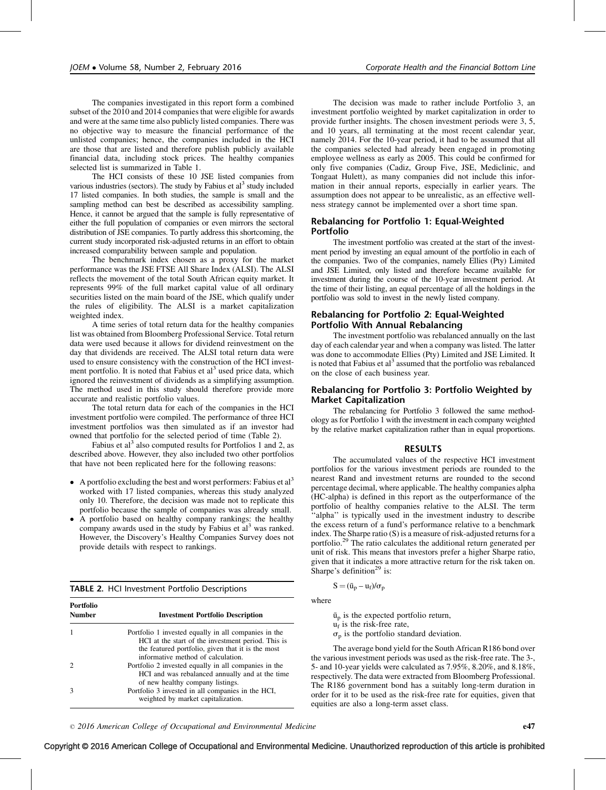The companies investigated in this report form a combined subset of the 2010 and 2014 companies that were eligible for awards and were at the same time also publicly listed companies. There was no objective way to measure the financial performance of the unlisted companies; hence, the companies included in the HCI are those that are listed and therefore publish publicly available financial data, including stock prices. The healthy companies selected list is summarized in Table 1.

The HCI consists of these 10 JSE listed companies from various industries (sectors). The study by Fabius et  $al<sup>3</sup>$  study included 17 listed companies. In both studies, the sample is small and the sampling method can best be described as accessibility sampling. Hence, it cannot be argued that the sample is fully representative of either the full population of companies or even mirrors the sectoral distribution of JSE companies. To partly address this shortcoming, the current study incorporated risk-adjusted returns in an effort to obtain increased comparability between sample and population.

The benchmark index chosen as a proxy for the market performance was the JSE FTSE All Share Index (ALSI). The ALSI reflects the movement of the total South African equity market. It represents 99% of the full market capital value of all ordinary securities listed on the main board of the JSE, which qualify under the rules of eligibility. The ALSI is a market capitalization weighted index.

A time series of total return data for the healthy companies list was obtained from Bloomberg Professional Service. Total return data were used because it allows for dividend reinvestment on the day that dividends are received. The ALSI total return data were used to ensure consistency with the construction of the HCI investment portfolio. It is noted that Fabius et  $al<sup>3</sup>$  $al<sup>3</sup>$  $al<sup>3</sup>$  used price data, which ignored the reinvestment of dividends as a simplifying assumption. The method used in this study should therefore provide more accurate and realistic portfolio values.

The total return data for each of the companies in the HCI investment portfolio were compiled. The performance of three HCI investment portfolios was then simulated as if an investor had owned that portfolio for the selected period of time (Table 2).

Fabius et al<sup>[3](#page-7-0)</sup> also computed results for Portfolios 1 and 2, as described above. However, they also included two other portfolios that have not been replicated here for the following reasons:

- $\bullet$  A portfolio excluding the best and worst performers: Fabius et al<sup>[3](#page-7-0)</sup> worked with 17 listed companies, whereas this study analyzed only 10. Therefore, the decision was made not to replicate this portfolio because the sample of companies was already small.
- A portfolio based on healthy company rankings: the healthy company awards used in the study by Fabius et  $al<sup>3</sup>$  $al<sup>3</sup>$  $al<sup>3</sup>$  was ranked. However, the Discovery's Healthy Companies Survey does not provide details with respect to rankings.

TABLE 2. HCI Investment Portfolio Descriptions

| Portfolio<br>Number         | <b>Investment Portfolio Description</b>                                                                                                                                                               |  |  |
|-----------------------------|-------------------------------------------------------------------------------------------------------------------------------------------------------------------------------------------------------|--|--|
|                             | Portfolio 1 invested equally in all companies in the<br>HCI at the start of the investment period. This is<br>the featured portfolio, given that it is the most<br>informative method of calculation. |  |  |
| $\mathcal{D}_{\mathcal{L}}$ | Portfolio 2 invested equally in all companies in the<br>HCI and was rebalanced annually and at the time<br>of new healthy company listings.                                                           |  |  |
| 3                           | Portfolio 3 invested in all companies in the HCI,<br>weighted by market capitalization.                                                                                                               |  |  |

The decision was made to rather include Portfolio 3, an investment portfolio weighted by market capitalization in order to provide further insights. The chosen investment periods were 3, 5, and 10 years, all terminating at the most recent calendar year, namely 2014. For the 10-year period, it had to be assumed that all the companies selected had already been engaged in promoting employee wellness as early as 2005. This could be confirmed for only five companies (Cadiz, Group Five, JSE, Mediclinic, and Tongaat Hulett), as many companies did not include this information in their annual reports, especially in earlier years. The assumption does not appear to be unrealistic, as an effective wellness strategy cannot be implemented over a short time span.

# Rebalancing for Portfolio 1: Equal-Weighted Portfolio

The investment portfolio was created at the start of the investment period by investing an equal amount of the portfolio in each of the companies. Two of the companies, namely Ellies (Pty) Limited and JSE Limited, only listed and therefore became available for investment during the course of the 10-year investment period. At the time of their listing, an equal percentage of all the holdings in the portfolio was sold to invest in the newly listed company.

# Rebalancing for Portfolio 2: Equal-Weighted Portfolio With Annual Rebalancing

The investment portfolio was rebalanced annually on the last day of each calendar year and when a company was listed. The latter was done to accommodate Ellies (Pty) Limited and JSE Limited. It is noted that Fabius et  $al<sup>3</sup>$  $al<sup>3</sup>$  $al<sup>3</sup>$  assumed that the portfolio was rebalanced on the close of each business year.

# Rebalancing for Portfolio 3: Portfolio Weighted by Market Capitalization

The rebalancing for Portfolio 3 followed the same methodology as for Portfolio 1 with the investment in each company weighted by the relative market capitalization rather than in equal proportions.

## RESULTS

The accumulated values of the respective HCI investment portfolios for the various investment periods are rounded to the nearest Rand and investment returns are rounded to the second percentage decimal, where applicable. The healthy companies alpha (HC-alpha) is defined in this report as the outperformance of the portfolio of healthy companies relative to the ALSI. The term 'alpha'' is typically used in the investment industry to describe the excess return of a fund's performance relative to a benchmark index. The Sharpe ratio (S) is a measure of risk-adjusted returns for a portfolio[.29](#page-8-0) The ratio calculates the additional return generated per unit of risk. This means that investors prefer a higher Sharpe ratio, given that it indicates a more attractive return for the risk taken on. Sharpe's definition<sup>29</sup> is:

$$
S = (\bar{u}_p - u_f)/\sigma_p
$$

where

 $\bar{u}_p$  is the expected portfolio return,  $u_f$  is the risk-free rate,  $\sigma_p$  is the portfolio standard deviation.

The average bond yield for the South African R186 bond over the various investment periods was used as the risk-free rate. The 3-, 5- and 10-year yields were calculated as 7.95%, 8.20%, and 8.18%, respectively. The data were extracted from Bloomberg Professional. The R186 government bond has a suitably long-term duration in order for it to be used as the risk-free rate for equities, given that equities are also a long-term asset class.

 $\degree$  2016 American College of Occupational and Environmental Medicine e47

# Copyright © 2016 American College of Occupational and Environmental Medicine. Unauthorized reproduction of this article is prohibited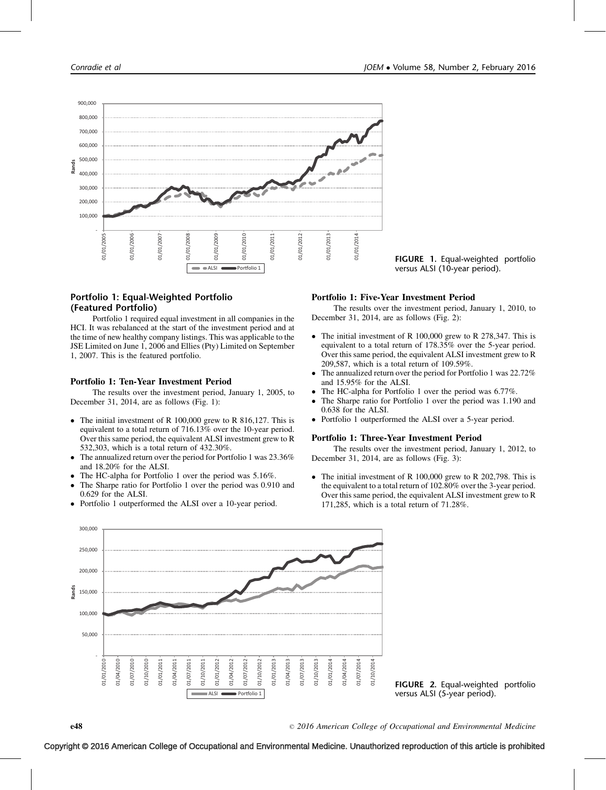

# Portfolio 1: Equal-Weighted Portfolio (Featured Portfolio)

Portfolio 1 required equal investment in all companies in the HCI. It was rebalanced at the start of the investment period and at the time of new healthy company listings. This was applicable to the JSE Limited on June 1, 2006 and Ellies (Pty) Limited on September 1, 2007. This is the featured portfolio.

## Portfolio 1: Ten-Year Investment Period

The results over the investment period, January 1, 2005, to December 31, 2014, are as follows (Fig. 1):

- The initial investment of R 100,000 grew to R 816,127. This is equivalent to a total return of 716.13% over the 10-year period. Over this same period, the equivalent ALSI investment grew to R 532,303, which is a total return of 432.30%.
- $\bullet$  The annualized return over the period for Portfolio 1 was 23.36% and 18.20% for the ALSI.
- $\bullet$ The HC-alpha for Portfolio 1 over the period was 5.16%.
- $\bullet$  The Sharpe ratio for Portfolio 1 over the period was 0.910 and 0.629 for the ALSI.
- $\bullet$ Portfolio 1 outperformed the ALSI over a 10-year period.

## FIGURE 1. Equal-weighted portfolio versus ALSI (10-year period).

#### Portfolio 1: Five-Year Investment Period

The results over the investment period, January 1, 2010, to December 31, 2014, are as follows (Fig. 2):

- The initial investment of R 100,000 grew to R 278,347. This is equivalent to a total return of 178.35% over the 5-year period. Over this same period, the equivalent ALSI investment grew to R 209,587, which is a total return of 109.59%.
- $\bullet$  The annualized return over the period for Portfolio 1 was 22.72% and 15.95% for the ALSI.
- $\bullet$ The HC-alpha for Portfolio 1 over the period was 6.77%.
- $\bullet$  The Sharpe ratio for Portfolio 1 over the period was 1.190 and 0.638 for the ALSI.
- Portfolio 1 outperformed the ALSI over a 5-year period.

#### Portfolio 1: Three-Year Investment Period

The results over the investment period, January 1, 2012, to December 31, 2014, are as follows (Fig. 3):

 $\bullet$  The initial investment of R 100,000 grew to R 202,798. This is the equivalent to a total return of 102.80% over the 3-year period. Over this same period, the equivalent ALSI investment grew to R 171,285, which is a total return of 71.28%.



FIGURE 2. Equal-weighted portfolio versus ALSI (5-year period).

2016 American College of Occupational and Environmental Medicine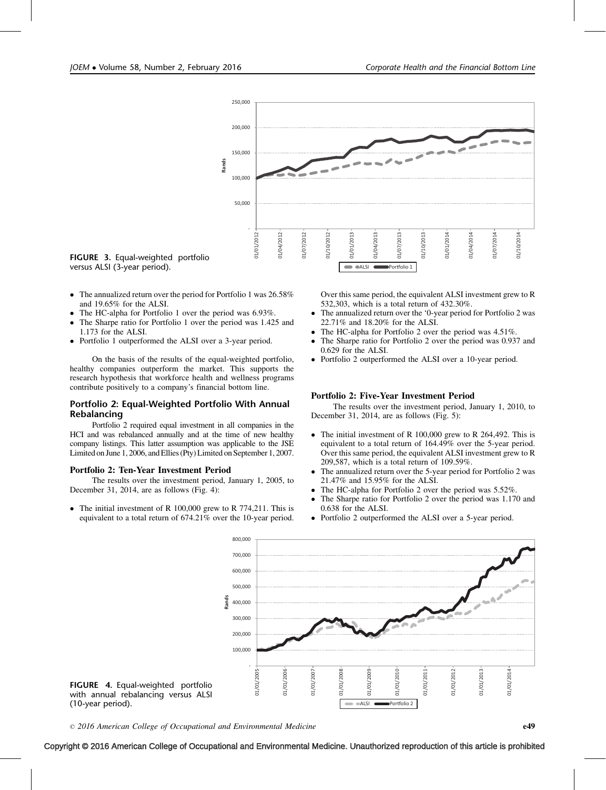

FIGURE 3. Equal-weighted portfolio versus ALSI (3-year period).

- $\bullet$  The annualized return over the period for Portfolio 1 was 26.58% and 19.65% for the ALSI.
- $\bullet$ The HC-alpha for Portfolio 1 over the period was 6.93%.
- $\bullet$  The Sharpe ratio for Portfolio 1 over the period was 1.425 and 1.173 for the ALSI.
- $\bullet$ Portfolio 1 outperformed the ALSI over a 3-year period.

On the basis of the results of the equal-weighted portfolio, healthy companies outperform the market. This supports the research hypothesis that workforce health and wellness programs contribute positively to a company's financial bottom line.

# Portfolio 2: Equal-Weighted Portfolio With Annual Rebalancing

Portfolio 2 required equal investment in all companies in the HCI and was rebalanced annually and at the time of new healthy company listings. This latter assumption was applicable to the JSE Limited on June 1, 2006, and Ellies (Pty) Limited on September 1, 2007.

## Portfolio 2: Ten-Year Investment Period

The results over the investment period, January 1, 2005, to December 31, 2014, are as follows (Fig. 4):

 $\bullet$  The initial investment of R 100,000 grew to R 774,211. This is equivalent to a total return of 674.21% over the 10-year period. Over this same period, the equivalent ALSI investment grew to R 532,303, which is a total return of 432.30%.

- $\bullet$  The annualized return over the '0-year period for Portfolio 2 was 22.71% and 18.20% for the ALSI.
- $\bullet$ The HC-alpha for Portfolio 2 over the period was 4.51%.
- - The Sharpe ratio for Portfolio 2 over the period was 0.937 and 0.629 for the ALSI.
- $\bullet$ Portfolio 2 outperformed the ALSI over a 10-year period.

## Portfolio 2: Five-Year Investment Period

The results over the investment period, January 1, 2010, to December 31, 2014, are as follows (Fig. 5):

- The initial investment of R 100,000 grew to R 264,492. This is equivalent to a total return of 164.49% over the 5-year period. Over this same period, the equivalent ALSI investment grew to R 209,587, which is a total return of 109.59%.
- $\bullet$  The annualized return over the 5-year period for Portfolio 2 was 21.47% and 15.95% for the ALSI.
- -The HC-alpha for Portfolio 2 over the period was 5.52%.
- $\bullet$  The Sharpe ratio for Portfolio 2 over the period was 1.170 and 0.638 for the ALSI.
- $\bullet$ Portfolio 2 outperformed the ALSI over a 5-year period.



 $\degree$  2016 American College of Occupational and Environmental Medicine e49

# Copyright © 2016 American College of Occupational and Environmental Medicine. Unauthorized reproduction of this article is prohibited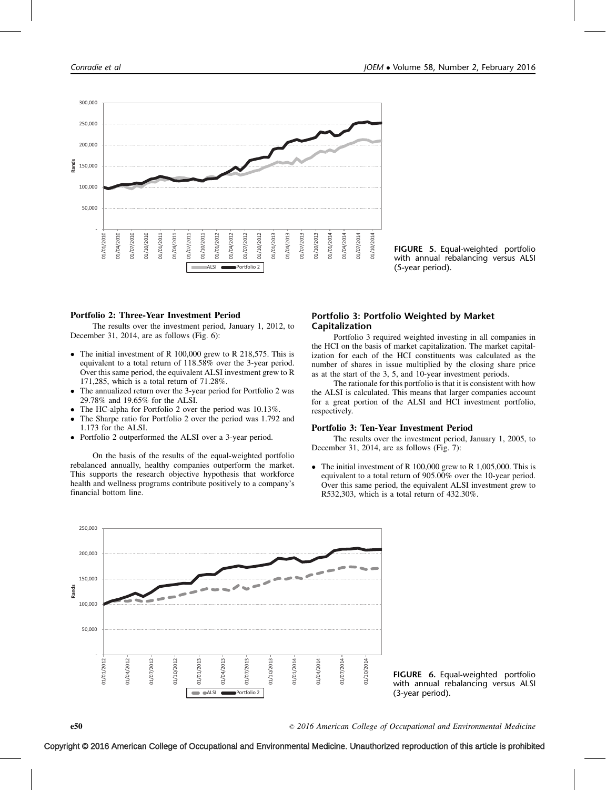

FIGURE 5. Equal-weighted portfolio with annual rebalancing versus ALSI (5-year period).

# Portfolio 2: Three-Year Investment Period

The results over the investment period, January 1, 2012, to December 31, 2014, are as follows (Fig. 6):

- The initial investment of R 100,000 grew to R 218,575. This is equivalent to a total return of 118.58% over the 3-year period. Over this same period, the equivalent ALSI investment grew to R 171,285, which is a total return of 71.28%.
- $\bullet$  The annualized return over the 3-year period for Portfolio 2 was 29.78% and 19.65% for the ALSI.
- $\bullet$ The HC-alpha for Portfolio 2 over the period was 10.13%.
- $\bullet$  The Sharpe ratio for Portfolio 2 over the period was 1.792 and 1.173 for the ALSI.
- $\bullet$ Portfolio 2 outperformed the ALSI over a 3-year period.

On the basis of the results of the equal-weighted portfolio rebalanced annually, healthy companies outperform the market. This supports the research objective hypothesis that workforce health and wellness programs contribute positively to a company's financial bottom line.

# Portfolio 3: Portfolio Weighted by Market Capitalization

Portfolio 3 required weighted investing in all companies in the HCI on the basis of market capitalization. The market capitalization for each of the HCI constituents was calculated as the number of shares in issue multiplied by the closing share price as at the start of the 3, 5, and 10-year investment periods.

The rationale for this portfolio is that it is consistent with how the ALSI is calculated. This means that larger companies account for a great portion of the ALSI and HCI investment portfolio, respectively.

#### Portfolio 3: Ten-Year Investment Period

The results over the investment period, January 1, 2005, to December 31, 2014, are as follows (Fig. 7):

• The initial investment of R 100,000 grew to R 1,005,000. This is equivalent to a total return of 905.00% over the 10-year period. Over this same period, the equivalent ALSI investment grew to R532,303, which is a total return of 432.30%.



FIGURE 6. Equal-weighted portfolio with annual rebalancing versus ALSI (3-year period).

2016 American College of Occupational and Environmental Medicine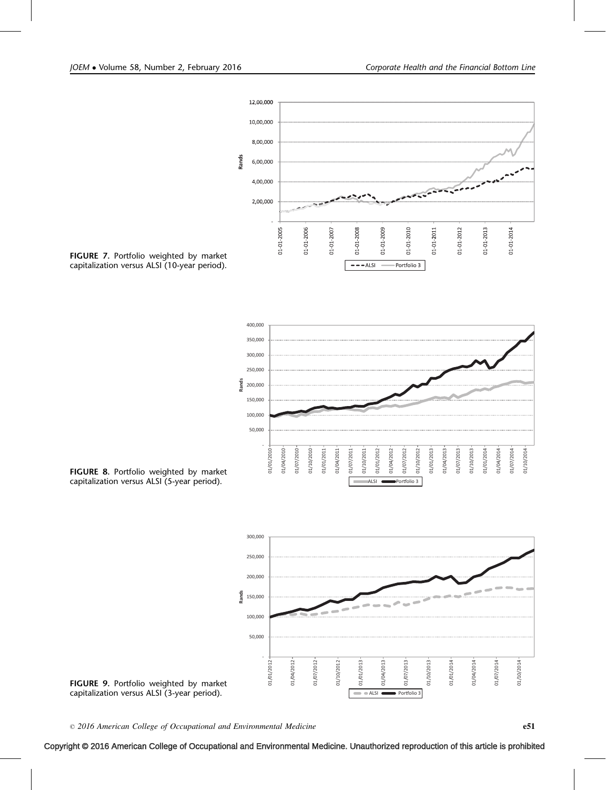

FIGURE 7. Portfolio weighted by market capitalization versus ALSI (10-year period).



FIGURE 8. Portfolio weighted by market capitalization versus ALSI (5-year period).



FIGURE 9. Portfolio weighted by market capitalization versus ALSI (3-year period).

 $\degree$  2016 American College of Occupational and Environmental Medicine example to the state of  $\degree$  51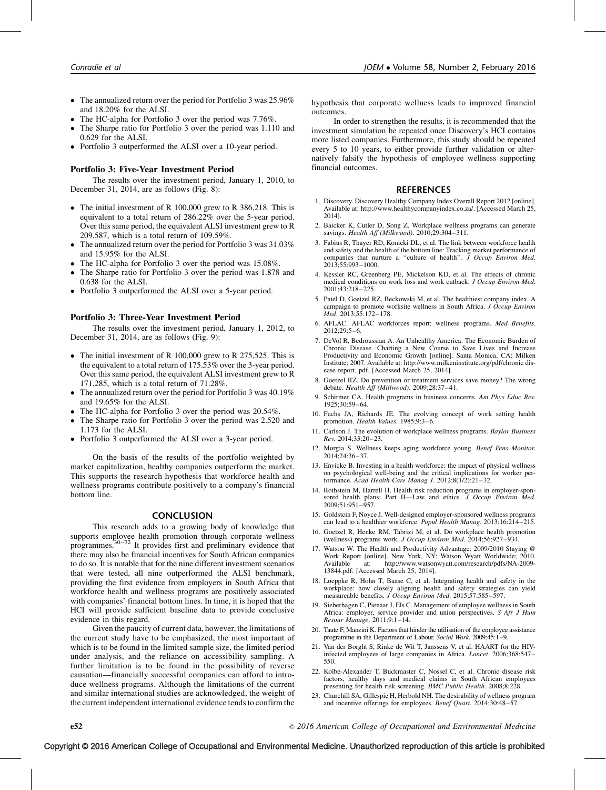- <span id="page-7-0"></span>• The annualized return over the period for Portfolio 3 was 25.96% and 18.20% for the ALSI.
- $\bullet$ The HC-alpha for Portfolio 3 over the period was 7.76%.
- $\bullet$  The Sharpe ratio for Portfolio 3 over the period was 1.110 and 0.629 for the ALSI.
- Portfolio 3 outperformed the ALSI over a 10-year period.

## Portfolio 3: Five-Year Investment Period

The results over the investment period, January 1, 2010, to December 31, 2014, are as follows (Fig. 8):

- The initial investment of R 100,000 grew to R 386,218. This is equivalent to a total return of 286.22% over the 5-year period. Over this same period, the equivalent ALSI investment grew to R 209,587, which is a total return of 109.59%.
- $\bullet$  The annualized return over the period for Portfolio 3 was 31.03% and 15.95% for the ALSI.
- $\bullet$ The HC-alpha for Portfolio 3 over the period was 15.08%.
- $\bullet$  The Sharpe ratio for Portfolio 3 over the period was 1.878 and 0.638 for the ALSI.
- Portfolio 3 outperformed the ALSI over a 5-year period.

#### Portfolio 3: Three-Year Investment Period

The results over the investment period, January 1, 2012, to December 31, 2014, are as follows (Fig. 9):

- The initial investment of R 100,000 grew to R 275,525. This is the equivalent to a total return of 175.53% over the 3-year period. Over this same period, the equivalent ALSI investment grew to R 171,285, which is a total return of 71.28%.
- The annualized return over the period for Portfolio 3 was 40.19% and 19.65% for the ALSI.
- $\bullet$ The HC-alpha for Portfolio 3 over the period was 20.54%.
- $\bullet$  The Sharpe ratio for Portfolio 3 over the period was 2.520 and 1.173 for the ALSI.
- Portfolio 3 outperformed the ALSI over a 3-year period.

On the basis of the results of the portfolio weighted by market capitalization, healthy companies outperform the market. This supports the research hypothesis that workforce health and wellness programs contribute positively to a company's financial bottom line.

#### **CONCLUSION**

This research adds to a growing body of knowledge that supports employee health promotion through corporate wellness programmes.[30–32](#page-8-0) It provides first and preliminary evidence that there may also be financial incentives for South African companies to do so. It is notable that for the nine different investment scenarios that were tested, all nine outperformed the ALSI benchmark, providing the first evidence from employers in South Africa that workforce health and wellness programs are positively associated with companies' financial bottom lines. In time, it is hoped that the HCI will provide sufficient baseline data to provide conclusive evidence in this regard.

Given the paucity of current data, however, the limitations of the current study have to be emphasized, the most important of which is to be found in the limited sample size, the limited period under analysis, and the reliance on accessibility sampling. A further limitation is to be found in the possibility of reverse causation—financially successful companies can afford to introduce wellness programs. Although the limitations of the current and similar international studies are acknowledged, the weight of the current independent international evidence tends to confirm the

hypothesis that corporate wellness leads to improved financial outcomes.

In order to strengthen the results, it is recommended that the investment simulation be repeated once Discovery's HCI contains more listed companies. Furthermore, this study should be repeated every 5 to 10 years, to either provide further validation or alternatively falsify the hypothesis of employee wellness supporting financial outcomes.

#### REFERENCES

- 1. Discovery. Discovery Healthy Company Index Overall Report 2012 [online]. Available at: http://www.healthycompanyindex.co.za/. [Accessed March 25, 2014].
- 2. Baicker K, Cutler D, Song Z. Workplace wellness programs can generate savings. Health Aff (Milkwood). 2010;29:304–311.
- 3. Fabius R, Thayer RD, Konicki DL, et al. The link between workforce health and safety and the health of the bottom line: Tracking market performance of companies that nurture a ''culture of health''. J Occup Environ Med. 2013;55:993–1000.
- 4. Kessler RC, Greenberg PE, Mickelson KD, et al. The effects of chronic medical conditions on work loss and work cutback. J Occup Environ Med. 2001;43:218–225.
- 5. Patel D, Goetzel RZ, Beckowski M, et al. The healthiest company index. A campaign to promote worksite wellness in South Africa. J Occup Environ Med. 2013;55:172–178.
- 6. AFLAC. AFLAC workforces report: wellness programs. Med Benefits. 2012;29:5–6.
- 7. DeVol R, Bedroussian A. An Unhealthy America: The Economic Burden of Chronic Disease. Charting a New Course to Save Lives and Increase Productivity and Economic Growth [online]. Santa Monica, CA: Milken Institute; 2007. Available at: http://www.milkeninstitute.org/pdf/chronic disease report. pdf. [Accessed March 25, 2014].
- 8. Goetzel RZ. Do prevention or treatment services save money? The wrong debate. Health  $\hat{Aff}$  (Millwood). 2009;28:37-41.
- 9. Schirmer CA. Health programs in business concerns. Am Phys Educ Rev. 1925;30:59–64.
- 10. Fuchs JA, Richards JE. The evolving concept of work setting health promotion. Health Values. 1985;9:3–6.
- 11. Carlson J. The evolution of workplace wellness programs. Baylor Business Rev. 2014;33:20–23.
- 12. Morgia S. Wellness keeps aging workforce young. Benef Pens Monitor. 2014;24:36–37.
- 13. Envicke B. Investing in a health workforce: the impact of physical wellness on psychological well-being and the critical implications for worker performance. Acad Health Care Manag J. 2012;8(1/2):21–32.
- 14. Rothstein M, Harrell H. Health risk reduction programs in employer-sponsored health plans: Part II—Law and ethics. *J Occup Environ Med.*<br>2009;51:951-957.
- 15. Goldstein F, Noyce J. Well-designed employer-sponsored wellness programs can lead to a healthier workforce. Popul Health Manag. 2013;16:214–215.
- 16. Goetzel R, Henke RM, Tabrizi M, et al. Do workplace health promotion (wellness) programs work. J Occup Environ Med. 2014;56:927–934.
- 17. Watson W. The Health and Productivity Advantage: 2009/2010 Staying @ Work Report [online]. New York, NY: Watson Wyatt Worldwide; 2010. Available at: http://www.watsonwyatt.com/research/pdfs/NA-2009- 13844.pdf. [Accessed March 25, 2014].
- 18. Loeppke R, Hohn T, Baase C, et al. Integrating health and safety in the workplace: how closely aligning health and safety strategies can yield measureable benefits. J Occup Environ Med. 2015;57:585-597.
- 19. Sieberhagen C, Pienaar J, Els C. Management of employee wellness in South Africa: employer, service provider and union perspectives. S Afr J Hum Resour Manage. 2011;9:1–14.
- 20. Taute F, Manzini K. Factors that hinder the utilisation of the employee assistance programme in the Department of Labour. Social Work. 2009;45:1-9.
- 21. Van der Borght S, Rinke de Wit T, Janssens V, et al. HAART for the HIVinfected employees of large companies in Africa. Lancet. 2006;368:547– 550.
- 22. Kolbe-Alexander T, Buckmaster C, Nossel C, et al. Chronic disease risk factors, healthy days and medical claims in South African employees presenting for health risk screening. BMC Public Health. 2008;8:228.
- 23. Churchill SA, Gillespie H, Herbold NH. The desirability of wellness program and incentive offerings for employees. Benef Quart. 2014;30:48–57.